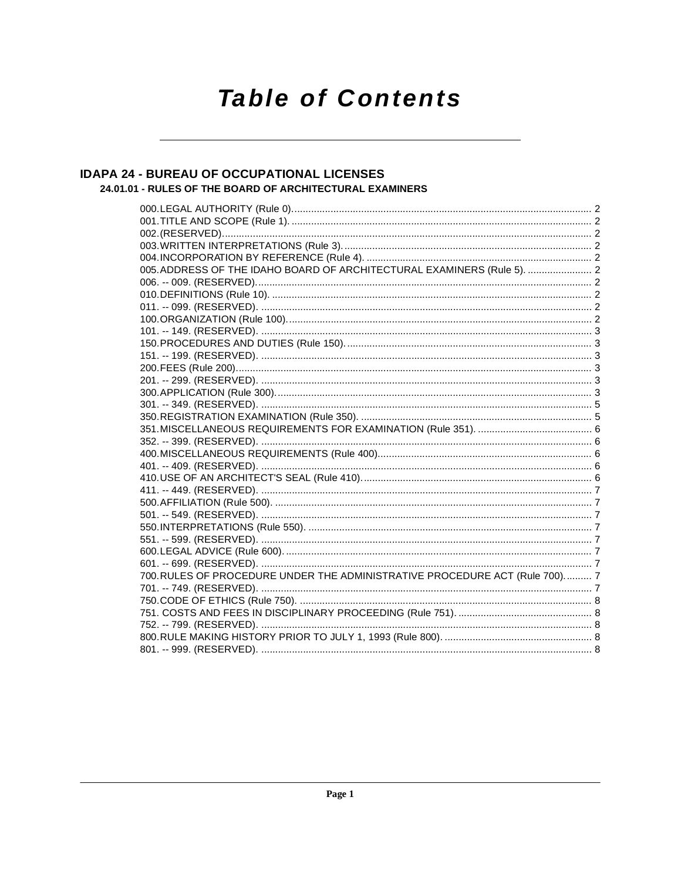# **Table of Contents**

# **IDAPA 24 - BUREAU OF OCCUPATIONAL LICENSES** 24.01.01 - RULES OF THE BOARD OF ARCHITECTURAL EXAMINERS

| 005.ADDRESS OF THE IDAHO BOARD OF ARCHITECTURAL EXAMINERS (Rule 5).  2        |  |
|-------------------------------------------------------------------------------|--|
|                                                                               |  |
|                                                                               |  |
|                                                                               |  |
|                                                                               |  |
|                                                                               |  |
|                                                                               |  |
|                                                                               |  |
|                                                                               |  |
|                                                                               |  |
|                                                                               |  |
|                                                                               |  |
|                                                                               |  |
|                                                                               |  |
|                                                                               |  |
|                                                                               |  |
|                                                                               |  |
|                                                                               |  |
|                                                                               |  |
|                                                                               |  |
|                                                                               |  |
|                                                                               |  |
|                                                                               |  |
|                                                                               |  |
|                                                                               |  |
| 700. RULES OF PROCEDURE UNDER THE ADMINISTRATIVE PROCEDURE ACT (Rule 700).  7 |  |
|                                                                               |  |
|                                                                               |  |
|                                                                               |  |
|                                                                               |  |
|                                                                               |  |
|                                                                               |  |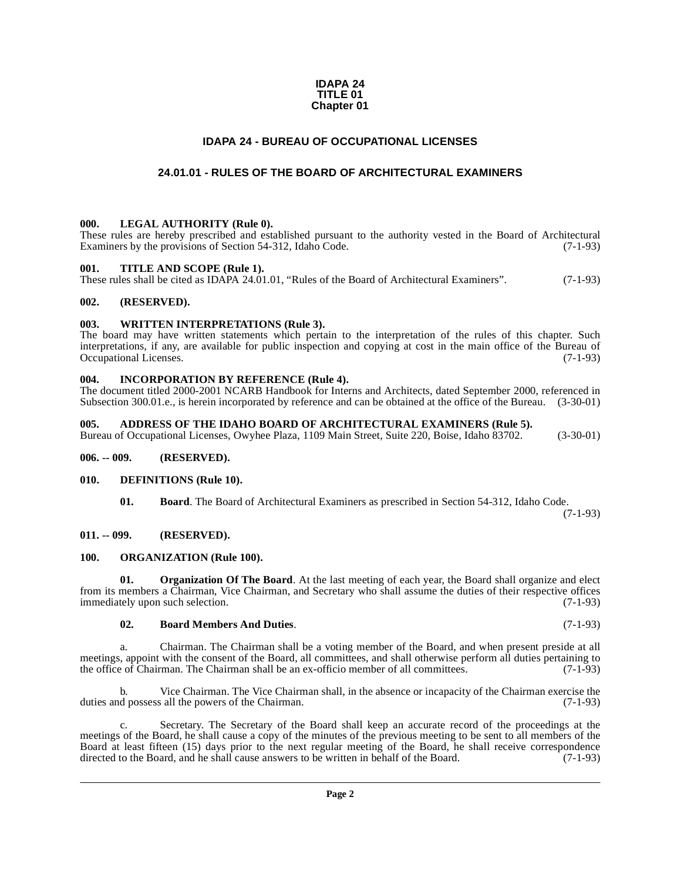#### **IDAPA 24 TITLE 01 Chapter 01**

# **IDAPA 24 - BUREAU OF OCCUPATIONAL LICENSES**

# **24.01.01 - RULES OF THE BOARD OF ARCHITECTURAL EXAMINERS**

#### <span id="page-1-2"></span><span id="page-1-1"></span><span id="page-1-0"></span>**000. LEGAL AUTHORITY (Rule 0).**

These rules are hereby prescribed and established pursuant to the authority vested in the Board of Architectural Examiners by the provisions of Section 54-312, Idaho Code. (7-1-93)

#### <span id="page-1-3"></span>**001. TITLE AND SCOPE (Rule 1).**

These rules shall be cited as IDAPA 24.01.01, "Rules of the Board of Architectural Examiners". (7-1-93)

#### <span id="page-1-4"></span>**002. (RESERVED).**

# <span id="page-1-5"></span>**003. WRITTEN INTERPRETATIONS (Rule 3).**

The board may have written statements which pertain to the interpretation of the rules of this chapter. Such interpretations, if any, are available for public inspection and copying at cost in the main office of the Bureau of Occupational Licenses. (7-1-93)

#### <span id="page-1-6"></span>**004. INCORPORATION BY REFERENCE (Rule 4).**

The document titled 2000-2001 NCARB Handbook for Interns and Architects, dated September 2000, referenced in Subsection 300.01.e., is herein incorporated by reference and can be obtained at the office of the Bureau. (3-30-01)

#### <span id="page-1-7"></span>**005. ADDRESS OF THE IDAHO BOARD OF ARCHITECTURAL EXAMINERS (Rule 5).**

Bureau of Occupational Licenses, Owyhee Plaza, 1109 Main Street, Suite 220, Boise, Idaho 83702. (3-30-01)

#### <span id="page-1-8"></span>**006. -- 009. (RESERVED).**

#### <span id="page-1-9"></span>**010. DEFINITIONS (Rule 10).**

<span id="page-1-13"></span>**01. Board**. The Board of Architectural Examiners as prescribed in Section 54-312, Idaho Code.

(7-1-93)

#### <span id="page-1-10"></span>**011. -- 099. (RESERVED).**

#### <span id="page-1-15"></span><span id="page-1-11"></span>**100. ORGANIZATION (Rule 100).**

**01. Organization Of The Board**. At the last meeting of each year, the Board shall organize and elect from its members a Chairman, Vice Chairman, and Secretary who shall assume the duties of their respective offices immediately upon such selection. (7-1-93)

#### <span id="page-1-14"></span><span id="page-1-12"></span>**02. Board Members And Duties**. (7-1-93)

a. Chairman. The Chairman shall be a voting member of the Board, and when present preside at all meetings, appoint with the consent of the Board, all committees, and shall otherwise perform all duties pertaining to the office of Chairman. The Chairman shall be an ex-officio member of all committees. (7-1-93)

b. Vice Chairman. The Vice Chairman shall, in the absence or incapacity of the Chairman exercise the d possess all the powers of the Chairman. (7-1-93) duties and possess all the powers of the Chairman.

Secretary. The Secretary of the Board shall keep an accurate record of the proceedings at the meetings of the Board, he shall cause a copy of the minutes of the previous meeting to be sent to all members of the Board at least fifteen (15) days prior to the next regular meeting of the Board, he shall receive correspondence directed to the Board, and he shall cause answers to be written in behalf of the Board. (7-1-93) directed to the Board, and he shall cause answers to be written in behalf of the Board.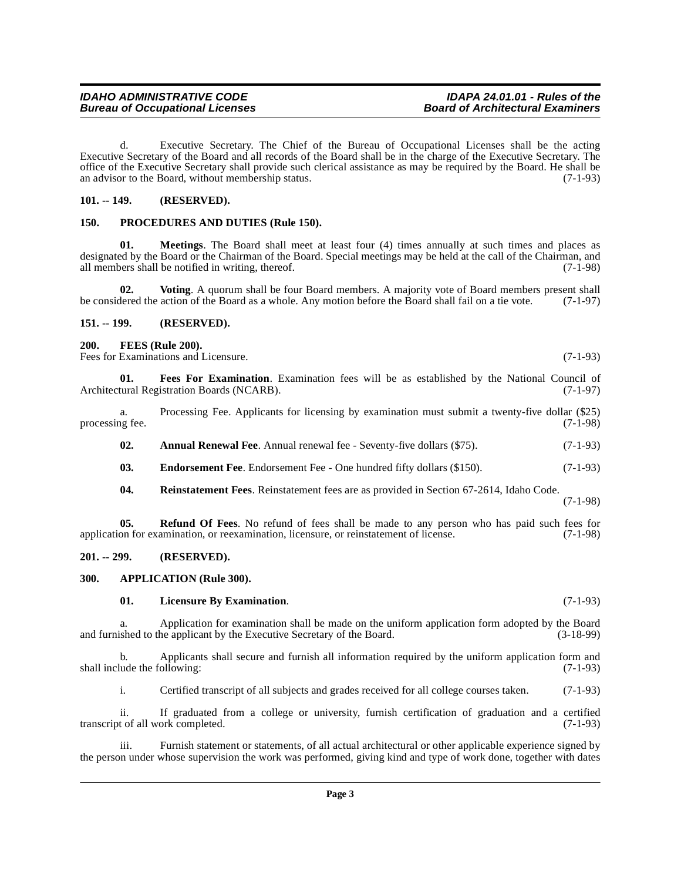<span id="page-2-12"></span>**01. Meetings**. The Board shall meet at least four (4) times annually at such times and places as designated by the Board or the Chairman of the Board. Special meetings may be held at the call of the Chairman, and all members shall be notified in writing, thereof. (7-1-98) all members shall be notified in writing, thereof.

Executive Secretary of the Board and all records of the Board shall be in the charge of the Executive Secretary. The office of the Executive Secretary shall provide such clerical assistance as may be required by the Board. He shall be an advisor to the Board, without membership status. (7-1-93)

d. Executive Secretary. The Chief of the Bureau of Occupational Licenses shall be the acting

<span id="page-2-16"></span>**02.** Voting. A quorum shall be four Board members. A majority vote of Board members present shall dered the action of the Board as a whole. Any motion before the Board shall fail on a tie vote. (7-1-97) be considered the action of the Board as a whole. Any motion before the Board shall fail on a tie vote.

# <span id="page-2-2"></span>**151. -- 199. (RESERVED).**

<span id="page-2-13"></span><span id="page-2-1"></span><span id="page-2-0"></span>**101. -- 149. (RESERVED).**

<span id="page-2-10"></span><span id="page-2-3"></span>**200. FEES (Rule 200).**

Fees for Examinations and Licensure. (7-1-93)

**Bureau of Occupational Licenses** 

<span id="page-2-9"></span>**01. Fees For Examination**. Examination fees will be as established by the National Council of tural Registration Boards (NCARB). Architectural Registration Boards (NCARB).

a. Processing Fee. Applicants for licensing by examination must submit a twenty-five dollar (\$25) ng fee. (7-1-98) processing fee.

- <span id="page-2-6"></span>**02.** Annual Renewal Fee. Annual renewal fee - Seventy-five dollars (\$75). (7-1-93)
- <span id="page-2-8"></span>**03.** Endorsement Fee. Endorsement Fee - One hundred fifty dollars (\$150). (7-1-93)
- <span id="page-2-15"></span><span id="page-2-14"></span>**04. Reinstatement Fees**. Reinstatement fees are as provided in Section 67-2614, Idaho Code. (7-1-98)

**05. Refund Of Fees**. No refund of fees shall be made to any person who has paid such fees for on for examination, or reexamination, licensure, or reinstatement of license. (7-1-98) application for examination, or reexamination, licensure, or reinstatement of license.

# <span id="page-2-4"></span>**201. -- 299. (RESERVED).**

# <span id="page-2-5"></span>**300. APPLICATION (Rule 300).**

# <span id="page-2-11"></span><span id="page-2-7"></span>**01. Licensure By Examination**. (7-1-93)

a. Application for examination shall be made on the uniform application form adopted by the Board shed to the applicant by the Executive Secretary of the Board. (3-18-99) and furnished to the applicant by the Executive Secretary of the Board.

b. Applicants shall secure and furnish all information required by the uniform application form and shall include the following: (7-1-93)

i. Certified transcript of all subjects and grades received for all college courses taken. (7-1-93)

ii. If graduated from a college or university, furnish certification of graduation and a certified tof all work completed. (7-1-93) transcript of all work completed.

Furnish statement or statements, of all actual architectural or other applicable experience signed by the person under whose supervision the work was performed, giving kind and type of work done, together with dates

# **IDAHO ADMINISTRATIVE CODE IDAPA 24.01.01 - Rules of the**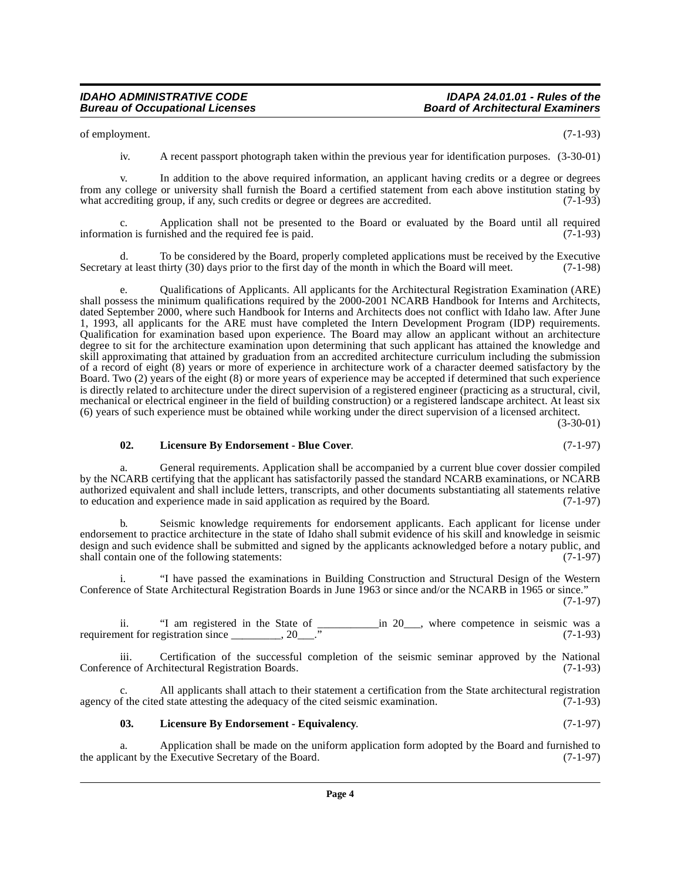of employment. (7-1-93)

iv. A recent passport photograph taken within the previous year for identification purposes. (3-30-01)

v. In addition to the above required information, an applicant having credits or a degree or degrees from any college or university shall furnish the Board a certified statement from each above institution stating by what accrediting group, if any, such credits or degree or degrees are accredited. (7-1-93) what accrediting group, if any, such credits or degree or degrees are accredited.

c. Application shall not be presented to the Board or evaluated by the Board until all required information is furnished and the required fee is paid. (7-1-93)

d. To be considered by the Board, properly completed applications must be received by the Executive  $\alpha$  at least thirty (30) days prior to the first day of the month in which the Board will meet. (7-1-98) Secretary at least thirty (30) days prior to the first day of the month in which the Board will meet.

e. Qualifications of Applicants. All applicants for the Architectural Registration Examination (ARE) shall possess the minimum qualifications required by the 2000-2001 NCARB Handbook for Interns and Architects, dated September 2000, where such Handbook for Interns and Architects does not conflict with Idaho law. After June 1, 1993, all applicants for the ARE must have completed the Intern Development Program (IDP) requirements. Qualification for examination based upon experience. The Board may allow an applicant without an architecture degree to sit for the architecture examination upon determining that such applicant has attained the knowledge and skill approximating that attained by graduation from an accredited architecture curriculum including the submission of a record of eight (8) years or more of experience in architecture work of a character deemed satisfactory by the Board. Two (2) years of the eight (8) or more years of experience may be accepted if determined that such experience is directly related to architecture under the direct supervision of a registered engineer (practicing as a structural, civil, mechanical or electrical engineer in the field of building construction) or a registered landscape architect. At least six (6) years of such experience must be obtained while working under the direct supervision of a licensed architect.

(3-30-01)

#### <span id="page-3-1"></span>**02. Licensure By Endorsement - Blue Cover**. (7-1-97)

General requirements. Application shall be accompanied by a current blue cover dossier compiled by the NCARB certifying that the applicant has satisfactorily passed the standard NCARB examinations, or NCARB authorized equivalent and shall include letters, transcripts, and other documents substantiating all statements relative to education and experience made in said application as required by the Board. (7-1-97)

b. Seismic knowledge requirements for endorsement applicants. Each applicant for license under endorsement to practice architecture in the state of Idaho shall submit evidence of his skill and knowledge in seismic design and such evidence shall be submitted and signed by the applicants acknowledged before a notary public, and shall contain one of the following statements: (7-1-97)

i. "I have passed the examinations in Building Construction and Structural Design of the Western Conference of State Architectural Registration Boards in June 1963 or since and/or the NCARB in 1965 or since." (7-1-97)

ii. "I am registered in the State of \_\_\_\_\_\_\_\_\_\_\_in 20\_\_\_, where competence in seismic was a requirement for registration since  $\frac{1}{2}$ ,  $\frac{20}{2}$ .  $\frac{3}{2}$  (7-1-93)

iii. Certification of the successful completion of the seismic seminar approved by the National ince of Architectural Registration Boards. (7-1-93) Conference of Architectural Registration Boards.

c. All applicants shall attach to their statement a certification from the State architectural registration agency of the cited state attesting the adequacy of the cited seismic examination. (7-1-93)

#### <span id="page-3-0"></span>**03. Licensure By Endorsement - Equivalency**. (7-1-97)

a. Application shall be made on the uniform application form adopted by the Board and furnished to cant by the Executive Secretary of the Board. (7-1-97) the applicant by the Executive Secretary of the Board.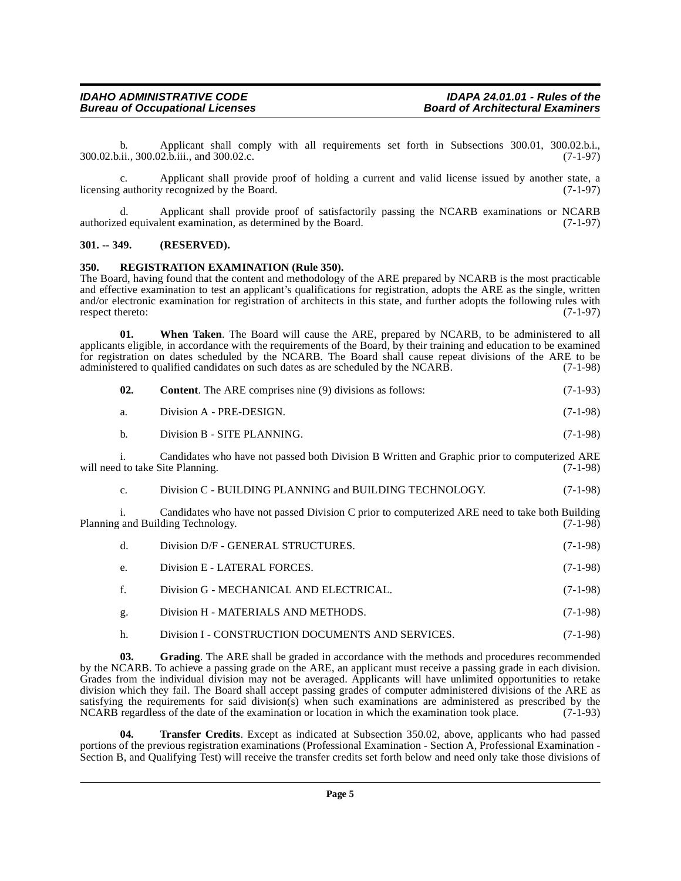#### **IDAHO ADMINISTRATIVE CODE IDAPA 24.01.01 - Rules of the Bureau of Occupational Licenses**

b. Applicant shall comply with all requirements set forth in Subsections 300.01, 300.02.b.i., <br>ii., 300.02.b.iii., and 300.02.c. (7-1-97) 300.02.b.ii., 300.02.b.iii., and 300.02.c.

c. Applicant shall provide proof of holding a current and valid license issued by another state, a licensing authority recognized by the Board. (7-1-97)

d. Applicant shall provide proof of satisfactorily passing the NCARB examinations or NCARB authorized equivalent examination, as determined by the Board. (7-1-97)

#### <span id="page-4-0"></span>**301. -- 349. (RESERVED).**

#### <span id="page-4-3"></span><span id="page-4-1"></span>**350. REGISTRATION EXAMINATION (Rule 350).**

The Board, having found that the content and methodology of the ARE prepared by NCARB is the most practicable and effective examination to test an applicant's qualifications for registration, adopts the ARE as the single, written and/or electronic examination for registration of architects in this state, and further adopts the following rules with respect thereto: (7-1-97) respect thereto:

**01. When Taken**. The Board will cause the ARE, prepared by NCARB, to be administered to all applicants eligible, in accordance with the requirements of the Board, by their training and education to be examined for registration on dates scheduled by the NCARB. The Board shall cause repeat divisions of the ARE to be administered to qualified candidates on such dates as are scheduled by the NCARB.  $(7-1-98)$ administered to qualified candidates on such dates as are scheduled by the NCARB.

| 02. | <b>Content.</b> The ARE comprises nine (9) divisions as follows: | $(7-1-93)$ |
|-----|------------------------------------------------------------------|------------|
|     |                                                                  |            |

| a. | Division A - PRE-DESIGN. | $(7-1-98)$ |
|----|--------------------------|------------|
|----|--------------------------|------------|

b. Division B - SITE PLANNING. (7-1-98)

i. Candidates who have not passed both Division B Written and Graphic prior to computerized ARE will need to take Site Planning.

c. Division C - BUILDING PLANNING and BUILDING TECHNOLOGY. (7-1-98)

i. Candidates who have not passed Division C prior to computerized ARE need to take both Building Planning and Building Technology.

| $\mathbf d$ . | Division D/F - GENERAL STRUCTURES.                | $(7-1-98)$ |
|---------------|---------------------------------------------------|------------|
| e.            | Division E - LATERAL FORCES.                      | $(7-1-98)$ |
| $f_{\cdot}$   | Division G - MECHANICAL AND ELECTRICAL.           | $(7-1-98)$ |
| g.            | Division H - MATERIALS AND METHODS.               | $(7-1-98)$ |
| h.            | Division I - CONSTRUCTION DOCUMENTS AND SERVICES. | $(7-1-98)$ |

<span id="page-4-2"></span>**03. Grading**. The ARE shall be graded in accordance with the methods and procedures recommended by the NCARB. To achieve a passing grade on the ARE, an applicant must receive a passing grade in each division. Grades from the individual division may not be averaged. Applicants will have unlimited opportunities to retake division which they fail. The Board shall accept passing grades of computer administered divisions of the ARE as satisfying the requirements for said division(s) when such examinations are administered as prescribed by the NCARB regardless of the date of the examination or location in which the examination took place. (7-1-93)

<span id="page-4-4"></span>**04. Transfer Credits**. Except as indicated at Subsection 350.02, above, applicants who had passed portions of the previous registration examinations (Professional Examination - Section A, Professional Examination - Section B, and Qualifying Test) will receive the transfer credits set forth below and need only take those divisions of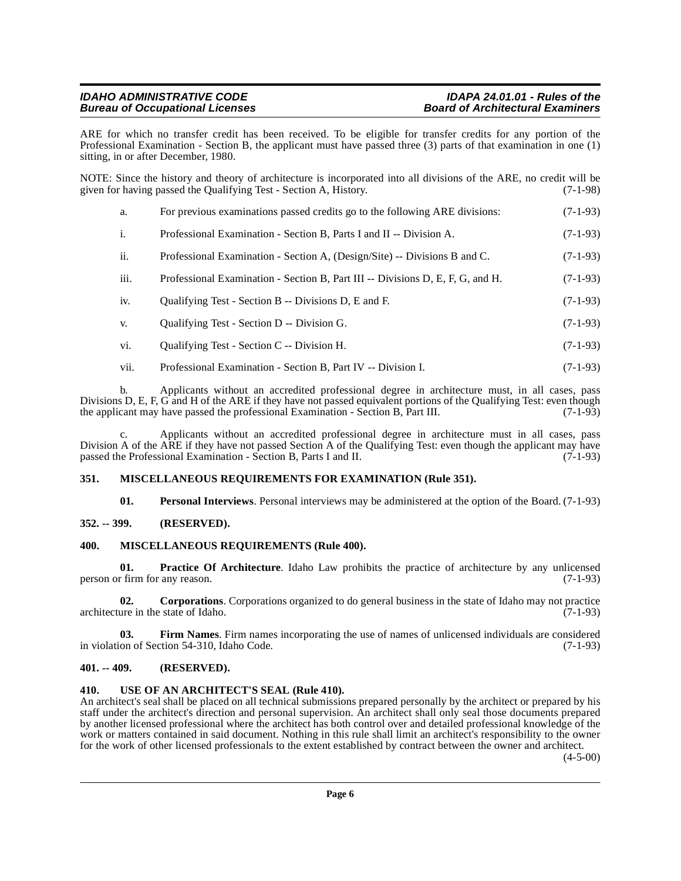#### **IDAHO ADMINISTRATIVE CODE IDAPA 24.01.01 - Rules of the Bureau of Occupational Licenses**

ARE for which no transfer credit has been received. To be eligible for transfer credits for any portion of the Professional Examination - Section B, the applicant must have passed three (3) parts of that examination in one (1) sitting, in or after December, 1980.

NOTE: Since the history and theory of architecture is incorporated into all divisions of the ARE, no credit will be given for having passed the Qualifying Test - Section A, History. (7-1-98)

| a.   | For previous examinations passed credits go to the following ARE divisions:    | $(7-1-93)$ |
|------|--------------------------------------------------------------------------------|------------|
| i.   | Professional Examination - Section B, Parts I and II -- Division A.            | $(7-1-93)$ |
| ii.  | Professional Examination - Section A, (Design/Site) -- Divisions B and C.      | $(7-1-93)$ |
| iii. | Professional Examination - Section B, Part III -- Divisions D, E, F, G, and H. | $(7-1-93)$ |
| iv.  | Qualifying Test - Section B -- Divisions D, E and F.                           | $(7-1-93)$ |

- v. Qualifying Test Section D -- Division G. (7-1-93)
- vi. Qualifying Test Section C -- Division H. (7-1-93)
- vii. Professional Examination Section B, Part IV -- Division I. (7-1-93)

b. Applicants without an accredited professional degree in architecture must, in all cases, pass Divisions D, E, F, G and H of the ARE if they have not passed equivalent portions of the Qualifying Test: even though the applicant may have passed the professional Examination - Section B, Part III. (7-1-93) the applicant may have passed the professional Examination - Section B, Part III.

c. Applicants without an accredited professional degree in architecture must in all cases, pass Division A of the ARE if they have not passed Section A of the Qualifying Test: even though the applicant may have passed the Professional Examination - Section B, Parts I and II. (7-1-93) passed the Professional Examination - Section B, Parts I and II.

# <span id="page-5-0"></span>**351. MISCELLANEOUS REQUIREMENTS FOR EXAMINATION (Rule 351).**

<span id="page-5-10"></span><span id="page-5-9"></span><span id="page-5-8"></span><span id="page-5-7"></span>**01. Personal Interviews**. Personal interviews may be administered at the option of the Board. (7-1-93)

# <span id="page-5-1"></span>**352. -- 399. (RESERVED).**

# <span id="page-5-2"></span>**400. MISCELLANEOUS REQUIREMENTS (Rule 400).**

**01. Practice Of Architecture**. Idaho Law prohibits the practice of architecture by any unlicensed person or firm for any reason. (7-1-93)

<span id="page-5-5"></span>**02. Corporations.** Corporations organized to do general business in the state of Idaho may not practice ure in the state of Idaho. (7-1-93) architecture in the state of Idaho.

<span id="page-5-6"></span>**03. Firm Names**. Firm names incorporating the use of names of unlicensed individuals are considered in violation of Section 54-310, Idaho Code. (7-1-93)

# <span id="page-5-3"></span>**401. -- 409. (RESERVED).**

### <span id="page-5-4"></span>**410. USE OF AN ARCHITECT'S SEAL (Rule 410).**

An architect's seal shall be placed on all technical submissions prepared personally by the architect or prepared by his staff under the architect's direction and personal supervision. An architect shall only seal those documents prepared by another licensed professional where the architect has both control over and detailed professional knowledge of the work or matters contained in said document. Nothing in this rule shall limit an architect's responsibility to the owner for the work of other licensed professionals to the extent established by contract between the owner and architect.

(4-5-00)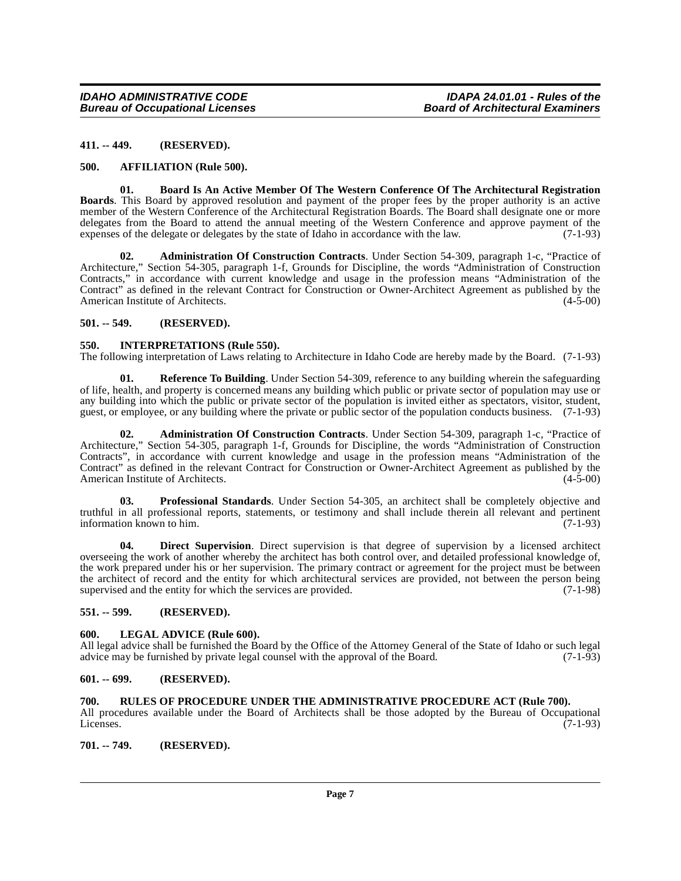#### <span id="page-6-0"></span>**411. -- 449. (RESERVED).**

#### <span id="page-6-11"></span><span id="page-6-1"></span>**500. AFFILIATION (Rule 500).**

<span id="page-6-12"></span>**01. Board Is An Active Member Of The Western Conference Of The Architectural Registration Boards**. This Board by approved resolution and payment of the proper fees by the proper authority is an active member of the Western Conference of the Architectural Registration Boards. The Board shall designate one or more delegates from the Board to attend the annual meeting of the Western Conference and approve payment of the expenses of the delegate or delegates by the state of Idaho in accordance with the law. (7-1-93)

<span id="page-6-9"></span>**02. Administration Of Construction Contracts**. Under Section 54-309, paragraph 1-c, "Practice of Architecture," Section 54-305, paragraph 1-f, Grounds for Discipline, the words "Administration of Construction Contracts," in accordance with current knowledge and usage in the profession means "Administration of the Contract" as defined in the relevant Contract for Construction or Owner-Architect Agreement as published by the American Institute of Architects. (4-5-00)

#### <span id="page-6-2"></span>**501. -- 549. (RESERVED).**

#### <span id="page-6-14"></span><span id="page-6-3"></span>**550. INTERPRETATIONS (Rule 550).**

The following interpretation of Laws relating to Architecture in Idaho Code are hereby made by the Board. (7-1-93)

<span id="page-6-17"></span>**01. Reference To Building**. Under Section 54-309, reference to any building wherein the safeguarding of life, health, and property is concerned means any building which public or private sector of population may use or any building into which the public or private sector of the population is invited either as spectators, visitor, student, guest, or employee, or any building where the private or public sector of the population conducts business. (7-1-93)

<span id="page-6-10"></span>**02. Administration Of Construction Contracts**. Under Section 54-309, paragraph 1-c, "Practice of Architecture," Section 54-305, paragraph 1-f, Grounds for Discipline, the words "Administration of Construction Contracts", in accordance with current knowledge and usage in the profession means "Administration of the Contract" as defined in the relevant Contract for Construction or Owner-Architect Agreement as published by the American Institute of Architects.

<span id="page-6-16"></span>**03. Professional Standards**. Under Section 54-305, an architect shall be completely objective and truthful in all professional reports, statements, or testimony and shall include therein all relevant and pertinent information known to him.

<span id="page-6-13"></span>**04. Direct Supervision**. Direct supervision is that degree of supervision by a licensed architect overseeing the work of another whereby the architect has both control over, and detailed professional knowledge of, the work prepared under his or her supervision. The primary contract or agreement for the project must be between the architect of record and the entity for which architectural services are provided, not between the person being supervised and the entity for which the services are provided. (7-1-98)

# <span id="page-6-4"></span>**551. -- 599. (RESERVED).**

#### <span id="page-6-15"></span><span id="page-6-5"></span>**600. LEGAL ADVICE (Rule 600).**

All legal advice shall be furnished the Board by the Office of the Attorney General of the State of Idaho or such legal advice may be furnished by private legal counsel with the approval of the Board. (7-1-93)

#### <span id="page-6-6"></span>**601. -- 699. (RESERVED).**

#### <span id="page-6-7"></span>**700. RULES OF PROCEDURE UNDER THE ADMINISTRATIVE PROCEDURE ACT (Rule 700).**

All procedures available under the Board of Architects shall be those adopted by the Bureau of Occupational Licenses. (7-1-93) Licenses. (7-1-93)

<span id="page-6-8"></span>**701. -- 749. (RESERVED).**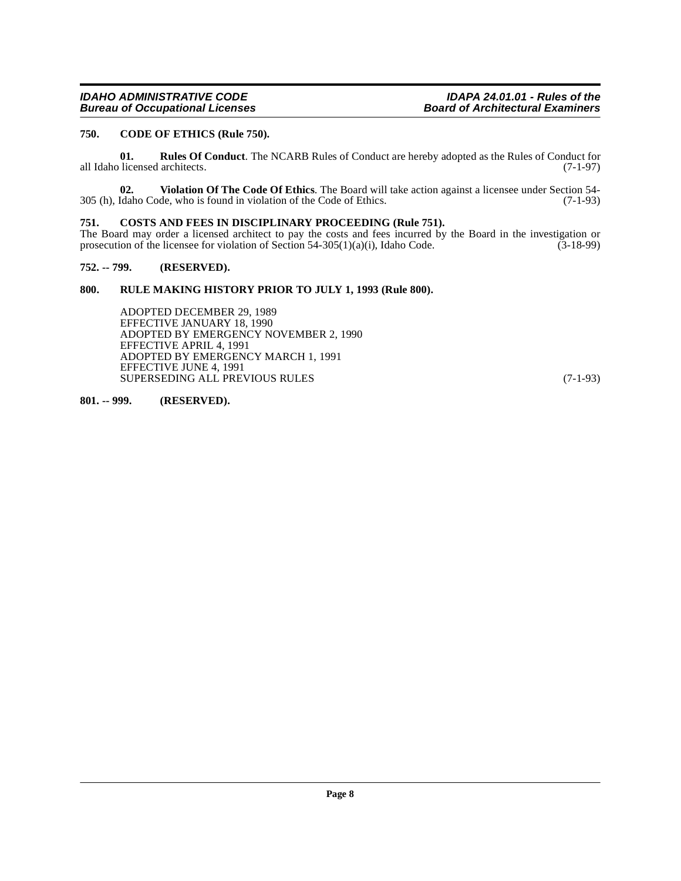# **IDAHO ADMINISTRATIVE CODE IDAHO ADMINISTRATIVE CODE**<br>Board of Architectural Examiners **in the ULCON CONGLUM**

#### <span id="page-7-5"></span><span id="page-7-0"></span>**750. CODE OF ETHICS (Rule 750).**

<span id="page-7-7"></span>**01. Rules Of Conduct**. The NCARB Rules of Conduct are hereby adopted as the Rules of Conduct for licensed architects. (7-1-97) all Idaho licensed architects.

<span id="page-7-8"></span>**02.** Violation Of The Code Of Ethics. The Board will take action against a licensee under Section 54-<br>Idaho Code, who is found in violation of the Code of Ethics. (7-1-93) 305 (h), Idaho Code, who is found in violation of the Code of Ethics.

#### <span id="page-7-6"></span><span id="page-7-1"></span>**751. COSTS AND FEES IN DISCIPLINARY PROCEEDING (Rule 751).**

The Board may order a licensed architect to pay the costs and fees incurred by the Board in the investigation or prosecution of the licensee for violation of Section 54-305(1)(a)(i), Idaho Code.  $(3-18-99)$ prosecution of the licensee for violation of Section 54-305(1)(a)(i), Idaho Code.

#### <span id="page-7-2"></span>**752. -- 799. (RESERVED).**

#### <span id="page-7-3"></span>**800. RULE MAKING HISTORY PRIOR TO JULY 1, 1993 (Rule 800).**

ADOPTED DECEMBER 29, 1989 EFFECTIVE JANUARY 18, 1990 ADOPTED BY EMERGENCY NOVEMBER 2, 1990 EFFECTIVE APRIL 4, 1991 ADOPTED BY EMERGENCY MARCH 1, 1991 EFFECTIVE JUNE 4, 1991 SUPERSEDING ALL PREVIOUS RULES (7-1-93)

#### <span id="page-7-4"></span>**801. -- 999. (RESERVED).**